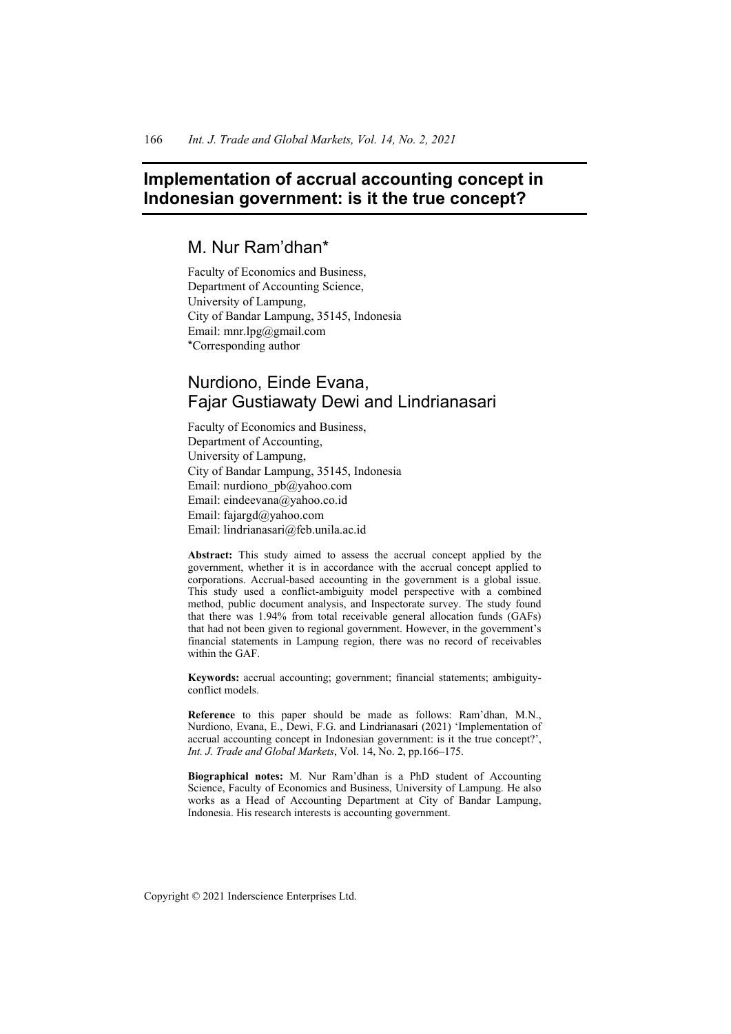# **Implementation of accrual accounting concept in Indonesian government: is it the true concept?**

## M. Nur Ram'dhan\*

Faculty of Economics and Business, Department of Accounting Science, University of Lampung, City of Bandar Lampung, 35145, Indonesia Email: mnr.lpg@gmail.com \*Corresponding author

## Nurdiono, Einde Evana, Fajar Gustiawaty Dewi and Lindrianasari

Faculty of Economics and Business, Department of Accounting, University of Lampung, City of Bandar Lampung, 35145, Indonesia Email: nurdiono\_pb@yahoo.com Email: eindeevana@yahoo.co.id Email: fajargd@yahoo.com Email: lindrianasari@feb.unila.ac.id

**Abstract:** This study aimed to assess the accrual concept applied by the government, whether it is in accordance with the accrual concept applied to corporations. Accrual-based accounting in the government is a global issue. This study used a conflict-ambiguity model perspective with a combined method, public document analysis, and Inspectorate survey. The study found that there was 1.94% from total receivable general allocation funds (GAFs) that had not been given to regional government. However, in the government's financial statements in Lampung region, there was no record of receivables within the GAF.

**Keywords:** accrual accounting; government; financial statements; ambiguityconflict models.

**Reference** to this paper should be made as follows: Ram'dhan, M.N., Nurdiono, Evana, E., Dewi, F.G. and Lindrianasari (2021) 'Implementation of accrual accounting concept in Indonesian government: is it the true concept?', *Int. J. Trade and Global Markets*, Vol. 14, No. 2, pp.166–175.

**Biographical notes:** M. Nur Ram'dhan is a PhD student of Accounting Science, Faculty of Economics and Business, University of Lampung. He also works as a Head of Accounting Department at City of Bandar Lampung, Indonesia. His research interests is accounting government.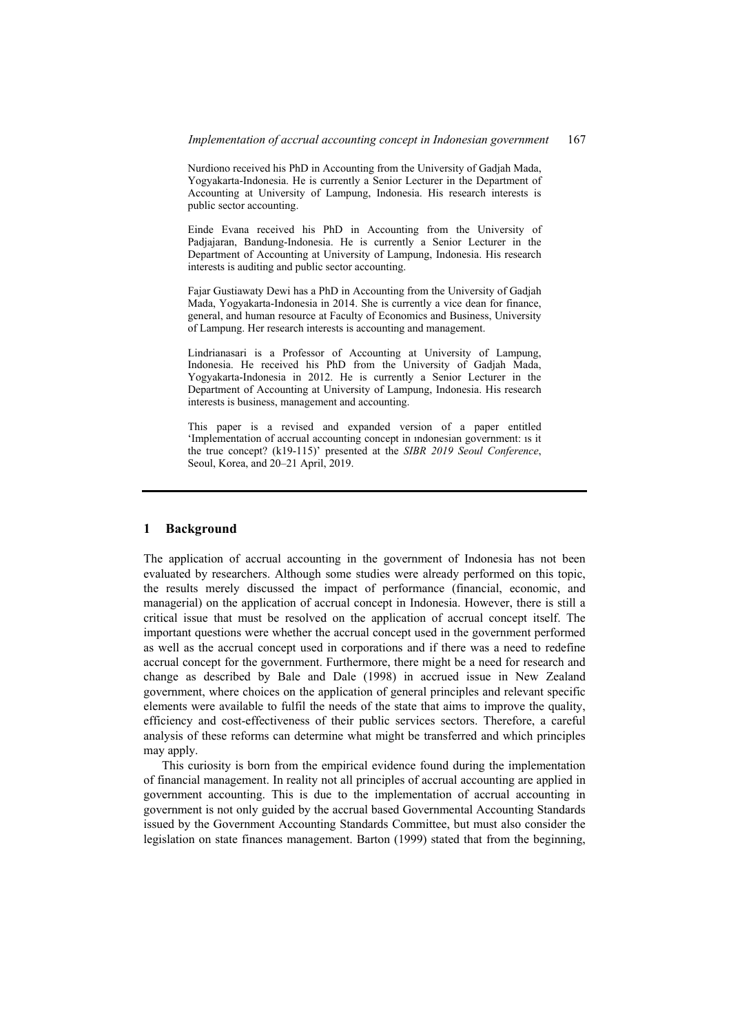Nurdiono received his PhD in Accounting from the University of Gadjah Mada, Yogyakarta-Indonesia. He is currently a Senior Lecturer in the Department of Accounting at University of Lampung, Indonesia. His research interests is public sector accounting.

Einde Evana received his PhD in Accounting from the University of Padjajaran, Bandung-Indonesia. He is currently a Senior Lecturer in the Department of Accounting at University of Lampung, Indonesia. His research interests is auditing and public sector accounting.

Fajar Gustiawaty Dewi has a PhD in Accounting from the University of Gadjah Mada, Yogyakarta-Indonesia in 2014. She is currently a vice dean for finance, general, and human resource at Faculty of Economics and Business, University of Lampung. Her research interests is accounting and management.

Lindrianasari is a Professor of Accounting at University of Lampung, Indonesia. He received his PhD from the University of Gadjah Mada, Yogyakarta-Indonesia in 2012. He is currently a Senior Lecturer in the Department of Accounting at University of Lampung, Indonesia. His research interests is business, management and accounting.

This paper is a revised and expanded version of a paper entitled 'Implementation of accrual accounting concept in ındonesian government: ıs it the true concept? (k19-115)' presented at the *SIBR 2019 Seoul Conference*, Seoul, Korea, and 20–21 April, 2019.

#### **1 Background**

The application of accrual accounting in the government of Indonesia has not been evaluated by researchers. Although some studies were already performed on this topic, the results merely discussed the impact of performance (financial, economic, and managerial) on the application of accrual concept in Indonesia. However, there is still a critical issue that must be resolved on the application of accrual concept itself. The important questions were whether the accrual concept used in the government performed as well as the accrual concept used in corporations and if there was a need to redefine accrual concept for the government. Furthermore, there might be a need for research and change as described by Bale and Dale (1998) in accrued issue in New Zealand government, where choices on the application of general principles and relevant specific elements were available to fulfil the needs of the state that aims to improve the quality, efficiency and cost-effectiveness of their public services sectors. Therefore, a careful analysis of these reforms can determine what might be transferred and which principles may apply.

This curiosity is born from the empirical evidence found during the implementation of financial management. In reality not all principles of accrual accounting are applied in government accounting. This is due to the implementation of accrual accounting in government is not only guided by the accrual based Governmental Accounting Standards issued by the Government Accounting Standards Committee, but must also consider the legislation on state finances management. Barton (1999) stated that from the beginning,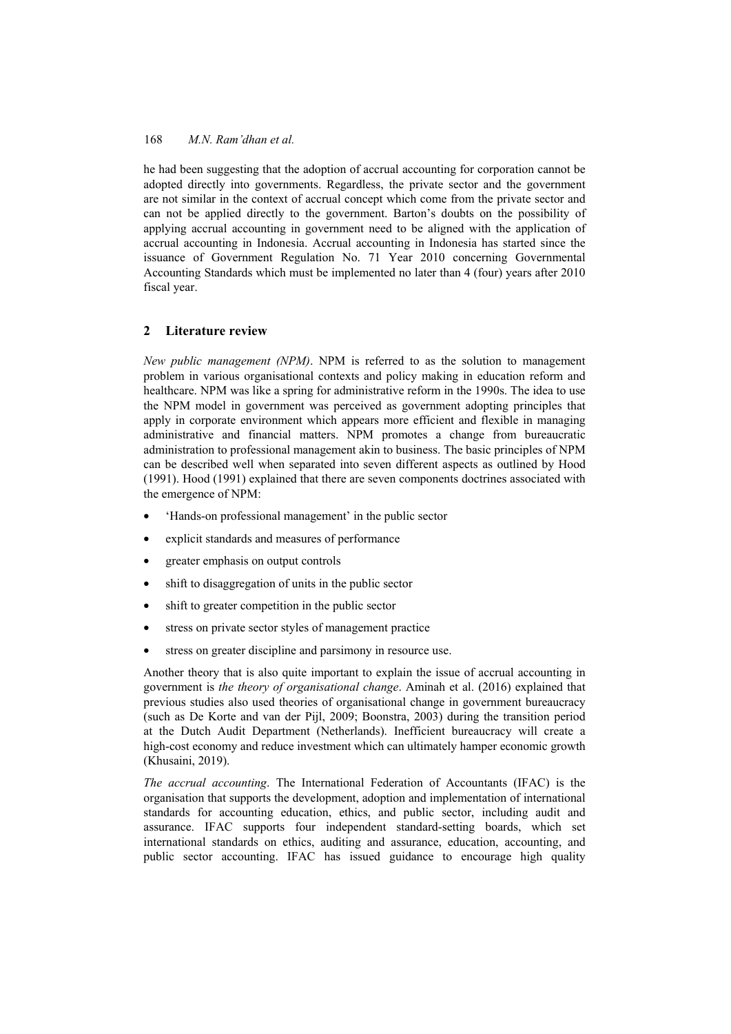he had been suggesting that the adoption of accrual accounting for corporation cannot be adopted directly into governments. Regardless, the private sector and the government are not similar in the context of accrual concept which come from the private sector and can not be applied directly to the government. Barton's doubts on the possibility of applying accrual accounting in government need to be aligned with the application of accrual accounting in Indonesia. Accrual accounting in Indonesia has started since the issuance of Government Regulation No. 71 Year 2010 concerning Governmental Accounting Standards which must be implemented no later than 4 (four) years after 2010 fiscal year.

## **2 Literature review**

*New public management (NPM)*. NPM is referred to as the solution to management problem in various organisational contexts and policy making in education reform and healthcare. NPM was like a spring for administrative reform in the 1990s. The idea to use the NPM model in government was perceived as government adopting principles that apply in corporate environment which appears more efficient and flexible in managing administrative and financial matters. NPM promotes a change from bureaucratic administration to professional management akin to business. The basic principles of NPM can be described well when separated into seven different aspects as outlined by Hood (1991). Hood (1991) explained that there are seven components doctrines associated with the emergence of NPM:

- 'Hands-on professional management' in the public sector
- explicit standards and measures of performance
- greater emphasis on output controls
- shift to disaggregation of units in the public sector
- shift to greater competition in the public sector
- stress on private sector styles of management practice
- stress on greater discipline and parsimony in resource use.

Another theory that is also quite important to explain the issue of accrual accounting in government is *the theory of organisational change*. Aminah et al. (2016) explained that previous studies also used theories of organisational change in government bureaucracy (such as De Korte and van der Pijl, 2009; Boonstra, 2003) during the transition period at the Dutch Audit Department (Netherlands). Inefficient bureaucracy will create a high-cost economy and reduce investment which can ultimately hamper economic growth (Khusaini, 2019).

*The accrual accounting*. The International Federation of Accountants (IFAC) is the organisation that supports the development, adoption and implementation of international standards for accounting education, ethics, and public sector, including audit and assurance. IFAC supports four independent standard-setting boards, which set international standards on ethics, auditing and assurance, education, accounting, and public sector accounting. IFAC has issued guidance to encourage high quality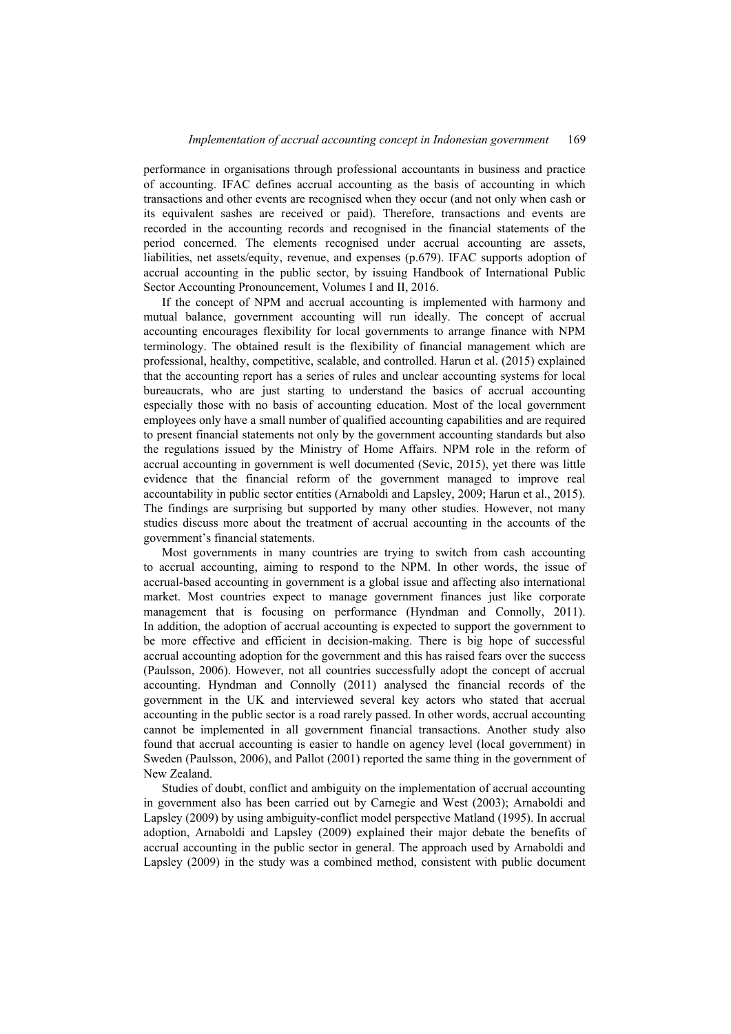performance in organisations through professional accountants in business and practice of accounting. IFAC defines accrual accounting as the basis of accounting in which transactions and other events are recognised when they occur (and not only when cash or its equivalent sashes are received or paid). Therefore, transactions and events are recorded in the accounting records and recognised in the financial statements of the period concerned. The elements recognised under accrual accounting are assets, liabilities, net assets/equity, revenue, and expenses (p.679). IFAC supports adoption of accrual accounting in the public sector, by issuing Handbook of International Public Sector Accounting Pronouncement, Volumes I and II, 2016.

If the concept of NPM and accrual accounting is implemented with harmony and mutual balance, government accounting will run ideally. The concept of accrual accounting encourages flexibility for local governments to arrange finance with NPM terminology. The obtained result is the flexibility of financial management which are professional, healthy, competitive, scalable, and controlled. Harun et al. (2015) explained that the accounting report has a series of rules and unclear accounting systems for local bureaucrats, who are just starting to understand the basics of accrual accounting especially those with no basis of accounting education. Most of the local government employees only have a small number of qualified accounting capabilities and are required to present financial statements not only by the government accounting standards but also the regulations issued by the Ministry of Home Affairs. NPM role in the reform of accrual accounting in government is well documented (Sevic, 2015), yet there was little evidence that the financial reform of the government managed to improve real accountability in public sector entities (Arnaboldi and Lapsley, 2009; Harun et al., 2015). The findings are surprising but supported by many other studies. However, not many studies discuss more about the treatment of accrual accounting in the accounts of the government's financial statements.

Most governments in many countries are trying to switch from cash accounting to accrual accounting, aiming to respond to the NPM. In other words, the issue of accrual-based accounting in government is a global issue and affecting also international market. Most countries expect to manage government finances just like corporate management that is focusing on performance (Hyndman and Connolly, 2011). In addition, the adoption of accrual accounting is expected to support the government to be more effective and efficient in decision-making. There is big hope of successful accrual accounting adoption for the government and this has raised fears over the success (Paulsson, 2006). However, not all countries successfully adopt the concept of accrual accounting. Hyndman and Connolly (2011) analysed the financial records of the government in the UK and interviewed several key actors who stated that accrual accounting in the public sector is a road rarely passed. In other words, accrual accounting cannot be implemented in all government financial transactions. Another study also found that accrual accounting is easier to handle on agency level (local government) in Sweden (Paulsson, 2006), and Pallot (2001) reported the same thing in the government of New Zealand.

Studies of doubt, conflict and ambiguity on the implementation of accrual accounting in government also has been carried out by Carnegie and West (2003); Arnaboldi and Lapsley (2009) by using ambiguity-conflict model perspective Matland (1995). In accrual adoption, Arnaboldi and Lapsley (2009) explained their major debate the benefits of accrual accounting in the public sector in general. The approach used by Arnaboldi and Lapsley (2009) in the study was a combined method, consistent with public document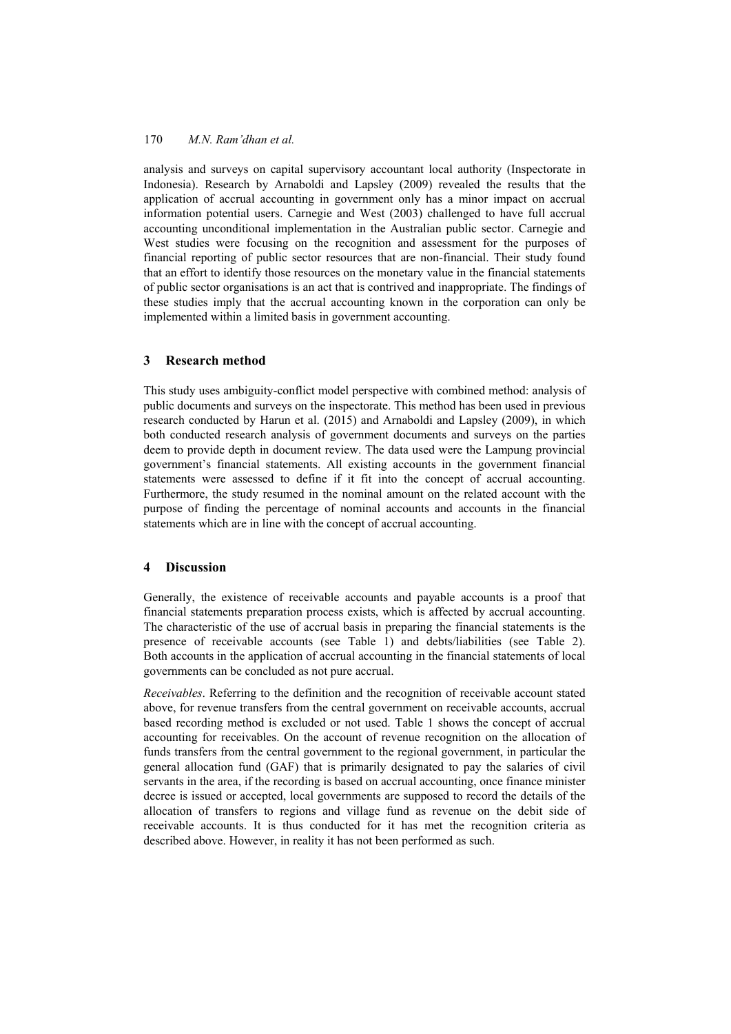analysis and surveys on capital supervisory accountant local authority (Inspectorate in Indonesia). Research by Arnaboldi and Lapsley (2009) revealed the results that the application of accrual accounting in government only has a minor impact on accrual information potential users. Carnegie and West (2003) challenged to have full accrual accounting unconditional implementation in the Australian public sector. Carnegie and West studies were focusing on the recognition and assessment for the purposes of financial reporting of public sector resources that are non-financial. Their study found that an effort to identify those resources on the monetary value in the financial statements of public sector organisations is an act that is contrived and inappropriate. The findings of these studies imply that the accrual accounting known in the corporation can only be implemented within a limited basis in government accounting.

## **3 Research method**

This study uses ambiguity-conflict model perspective with combined method: analysis of public documents and surveys on the inspectorate. This method has been used in previous research conducted by Harun et al. (2015) and Arnaboldi and Lapsley (2009), in which both conducted research analysis of government documents and surveys on the parties deem to provide depth in document review. The data used were the Lampung provincial government's financial statements. All existing accounts in the government financial statements were assessed to define if it fit into the concept of accrual accounting. Furthermore, the study resumed in the nominal amount on the related account with the purpose of finding the percentage of nominal accounts and accounts in the financial statements which are in line with the concept of accrual accounting.

## **4 Discussion**

Generally, the existence of receivable accounts and payable accounts is a proof that financial statements preparation process exists, which is affected by accrual accounting. The characteristic of the use of accrual basis in preparing the financial statements is the presence of receivable accounts (see Table 1) and debts/liabilities (see Table 2). Both accounts in the application of accrual accounting in the financial statements of local governments can be concluded as not pure accrual.

*Receivables*. Referring to the definition and the recognition of receivable account stated above, for revenue transfers from the central government on receivable accounts, accrual based recording method is excluded or not used. Table 1 shows the concept of accrual accounting for receivables. On the account of revenue recognition on the allocation of funds transfers from the central government to the regional government, in particular the general allocation fund (GAF) that is primarily designated to pay the salaries of civil servants in the area, if the recording is based on accrual accounting, once finance minister decree is issued or accepted, local governments are supposed to record the details of the allocation of transfers to regions and village fund as revenue on the debit side of receivable accounts. It is thus conducted for it has met the recognition criteria as described above. However, in reality it has not been performed as such.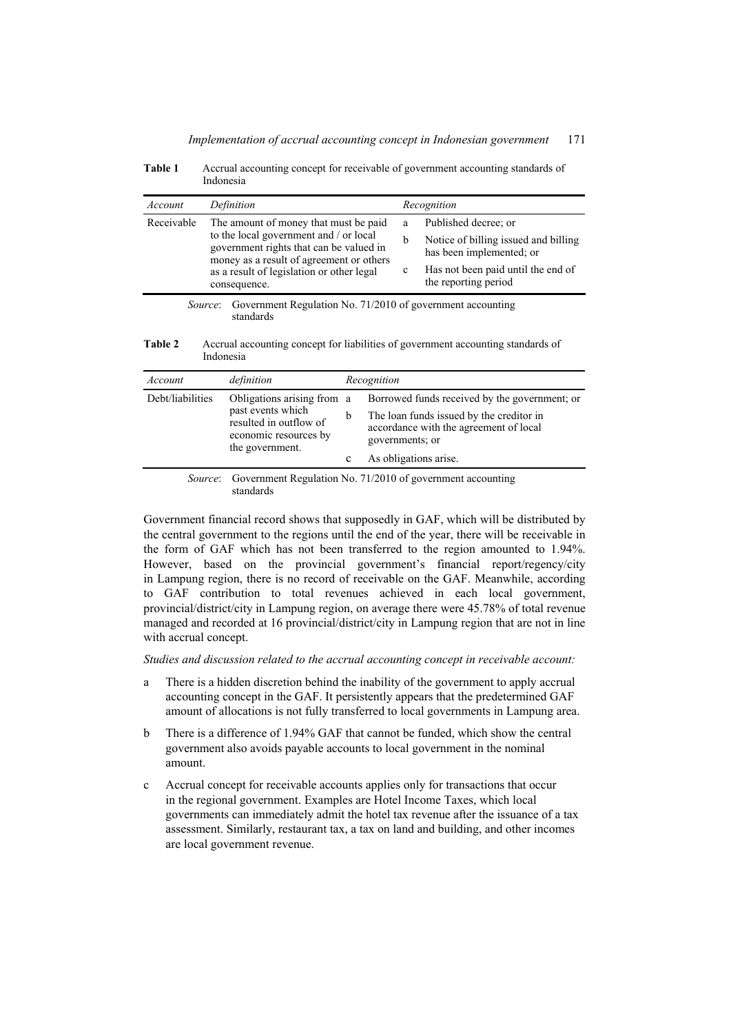| Account    | Definition                                                                                                                                                                                                                          | Recognition |                                                                                        |
|------------|-------------------------------------------------------------------------------------------------------------------------------------------------------------------------------------------------------------------------------------|-------------|----------------------------------------------------------------------------------------|
| Receivable | The amount of money that must be paid<br>to the local government and / or local<br>government rights that can be valued in<br>money as a result of agreement or others<br>as a result of legislation or other legal<br>consequence. | a<br>b      | Published decree; or<br>Notice of billing issued and billing                           |
|            |                                                                                                                                                                                                                                     | $\mathbf c$ | has been implemented; or<br>Has not been paid until the end of<br>the reporting period |
|            | Government Regulation No. 71/2010 of government accounting<br>Source:                                                                                                                                                               |             |                                                                                        |

**Table 1** Accrual accounting concept for receivable of government accounting standards of Indonesia

standards

| Account          | definition                                                                                                            | Recognition |                                                                                                                                                                                 |
|------------------|-----------------------------------------------------------------------------------------------------------------------|-------------|---------------------------------------------------------------------------------------------------------------------------------------------------------------------------------|
| Debt/liabilities | Obligations arising from a<br>past events which<br>resulted in outflow of<br>economic resources by<br>the government. | b<br>c      | Borrowed funds received by the government; or<br>The loan funds issued by the creditor in<br>accordance with the agreement of local<br>governments; or<br>As obligations arise. |
|                  | <i>Source</i> : Government Regulation No. 71/2010 of government accounting                                            |             |                                                                                                                                                                                 |

standards

Government financial record shows that supposedly in GAF, which will be distributed by the central government to the regions until the end of the year, there will be receivable in the form of GAF which has not been transferred to the region amounted to 1.94%. However, based on the provincial government's financial report/regency/city in Lampung region, there is no record of receivable on the GAF. Meanwhile, according to GAF contribution to total revenues achieved in each local government, provincial/district/city in Lampung region, on average there were 45.78% of total revenue managed and recorded at 16 provincial/district/city in Lampung region that are not in line with accrual concept.

*Studies and discussion related to the accrual accounting concept in receivable account:* 

- a There is a hidden discretion behind the inability of the government to apply accrual accounting concept in the GAF. It persistently appears that the predetermined GAF amount of allocations is not fully transferred to local governments in Lampung area.
- b There is a difference of 1.94% GAF that cannot be funded, which show the central government also avoids payable accounts to local government in the nominal amount.
- c Accrual concept for receivable accounts applies only for transactions that occur in the regional government. Examples are Hotel Income Taxes, which local governments can immediately admit the hotel tax revenue after the issuance of a tax assessment. Similarly, restaurant tax, a tax on land and building, and other incomes are local government revenue.

**Table 2** Accrual accounting concept for liabilities of government accounting standards of Indonesia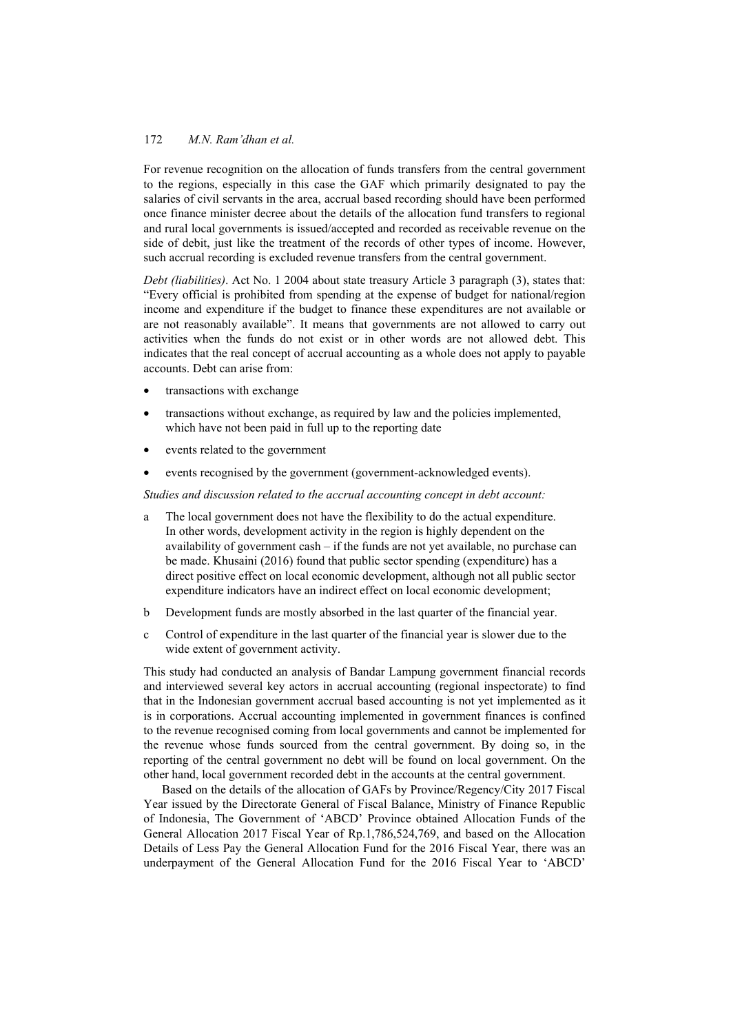For revenue recognition on the allocation of funds transfers from the central government to the regions, especially in this case the GAF which primarily designated to pay the salaries of civil servants in the area, accrual based recording should have been performed once finance minister decree about the details of the allocation fund transfers to regional and rural local governments is issued/accepted and recorded as receivable revenue on the side of debit, just like the treatment of the records of other types of income. However, such accrual recording is excluded revenue transfers from the central government.

*Debt (liabilities)*. Act No. 1 2004 about state treasury Article 3 paragraph (3), states that: "Every official is prohibited from spending at the expense of budget for national/region income and expenditure if the budget to finance these expenditures are not available or are not reasonably available". It means that governments are not allowed to carry out activities when the funds do not exist or in other words are not allowed debt. This indicates that the real concept of accrual accounting as a whole does not apply to payable accounts. Debt can arise from:

- transactions with exchange
- transactions without exchange, as required by law and the policies implemented, which have not been paid in full up to the reporting date
- events related to the government
- events recognised by the government (government-acknowledged events).

### *Studies and discussion related to the accrual accounting concept in debt account:*

- a The local government does not have the flexibility to do the actual expenditure. In other words, development activity in the region is highly dependent on the availability of government cash – if the funds are not yet available, no purchase can be made. Khusaini (2016) found that public sector spending (expenditure) has a direct positive effect on local economic development, although not all public sector expenditure indicators have an indirect effect on local economic development;
- b Development funds are mostly absorbed in the last quarter of the financial year.
- c Control of expenditure in the last quarter of the financial year is slower due to the wide extent of government activity.

This study had conducted an analysis of Bandar Lampung government financial records and interviewed several key actors in accrual accounting (regional inspectorate) to find that in the Indonesian government accrual based accounting is not yet implemented as it is in corporations. Accrual accounting implemented in government finances is confined to the revenue recognised coming from local governments and cannot be implemented for the revenue whose funds sourced from the central government. By doing so, in the reporting of the central government no debt will be found on local government. On the other hand, local government recorded debt in the accounts at the central government.

Based on the details of the allocation of GAFs by Province/Regency/City 2017 Fiscal Year issued by the Directorate General of Fiscal Balance, Ministry of Finance Republic of Indonesia, The Government of 'ABCD' Province obtained Allocation Funds of the General Allocation 2017 Fiscal Year of Rp.1,786,524,769, and based on the Allocation Details of Less Pay the General Allocation Fund for the 2016 Fiscal Year, there was an underpayment of the General Allocation Fund for the 2016 Fiscal Year to 'ABCD'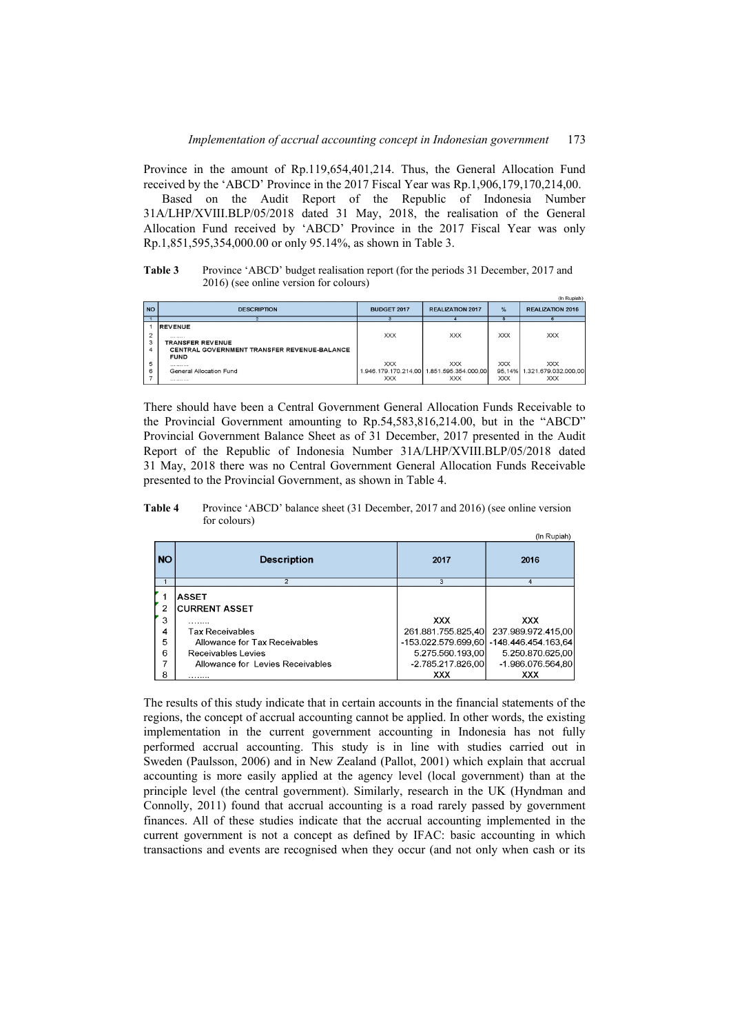Province in the amount of Rp.119,654,401,214. Thus, the General Allocation Fund received by the 'ABCD' Province in the 2017 Fiscal Year was Rp.1,906,179,170,214,00.

Based on the Audit Report of the Republic of Indonesia Number 31A/LHP/XVIII.BLP/05/2018 dated 31 May, 2018, the realisation of the General Allocation Fund received by 'ABCD' Province in the 2017 Fiscal Year was only Rp.1,851,595,354,000.00 or only 95.14%, as shown in Table 3.

**Table 3** Province 'ABCD' budget realisation report (for the periods 31 December, 2017 and 2016) (see online version for colours)

|                          | (In Rupiah)                                                                                                         |                          |                                                                       |                          |                                                         |  |  |
|--------------------------|---------------------------------------------------------------------------------------------------------------------|--------------------------|-----------------------------------------------------------------------|--------------------------|---------------------------------------------------------|--|--|
| <b>NO</b>                | <b>DESCRIPTION</b>                                                                                                  | BUDGET 2017              | <b>REALIZATION 2017</b>                                               | $\%$                     | <b>REALIZATION 2016</b>                                 |  |  |
|                          |                                                                                                                     |                          |                                                                       |                          |                                                         |  |  |
| $\overline{2}$<br>3<br>4 | <b>IREVENUE</b><br><br><b>TRANSFER REVENUE</b><br><b>CENTRAL GOVERNMENT TRANSFER REVENUE-BALANCE</b><br><b>FUND</b> | <b>XXX</b>               | <b>XXX</b>                                                            | <b>XXX</b>               | <b>XXX</b>                                              |  |  |
| 5<br>6                   | .<br>General Allocation Fund<br>                                                                                    | <b>XXX</b><br><b>XXX</b> | <b>XXX</b><br>1.946.179.170.214.00 1.851.595.354.000.00<br><b>XXX</b> | <b>XXX</b><br><b>XXX</b> | <b>XXX</b><br>95.14% 1.321.679.032.000.00<br><b>XXX</b> |  |  |

There should have been a Central Government General Allocation Funds Receivable to the Provincial Government amounting to Rp.54,583,816,214.00, but in the "ABCD" Provincial Government Balance Sheet as of 31 December, 2017 presented in the Audit Report of the Republic of Indonesia Number 31A/LHP/XVIII.BLP/05/2018 dated 31 May, 2018 there was no Central Government General Allocation Funds Receivable presented to the Provincial Government, as shown in Table 4.

**Table 4** Province 'ABCD' balance sheet (31 December, 2017 and 2016) (see online version for colours)

|           | (in Rupian)                           |                     |                                          |  |  |  |
|-----------|---------------------------------------|---------------------|------------------------------------------|--|--|--|
| <b>NO</b> | <b>Description</b>                    | 2017                | 2016                                     |  |  |  |
|           |                                       | 3                   | 4                                        |  |  |  |
| 2         | <b>ASSET</b><br><b>ICURRENT ASSET</b> |                     |                                          |  |  |  |
|           |                                       |                     |                                          |  |  |  |
| 3         | .                                     | <b>XXX</b>          | XXX.                                     |  |  |  |
| 4         | <b>Tax Receivables</b>                | 261.881.755.825.40  | 237.989.972.415,00                       |  |  |  |
| 5         | Allowance for Tax Receivables         |                     | -153.022.579.699.60 - 148.446.454.163.64 |  |  |  |
| 6         | Receivables Levies                    | 5.275.560.193,00    | 5.250.870.625,00                         |  |  |  |
|           | Allowance for Levies Receivables      | $-2.785.217.826.00$ | -1.986.076.564.80                        |  |  |  |
| 8         | .                                     | XXX                 | <b>XXX</b>                               |  |  |  |

The results of this study indicate that in certain accounts in the financial statements of the regions, the concept of accrual accounting cannot be applied. In other words, the existing implementation in the current government accounting in Indonesia has not fully performed accrual accounting. This study is in line with studies carried out in Sweden (Paulsson, 2006) and in New Zealand (Pallot, 2001) which explain that accrual accounting is more easily applied at the agency level (local government) than at the principle level (the central government). Similarly, research in the UK (Hyndman and Connolly, 2011) found that accrual accounting is a road rarely passed by government finances. All of these studies indicate that the accrual accounting implemented in the current government is not a concept as defined by IFAC: basic accounting in which transactions and events are recognised when they occur (and not only when cash or its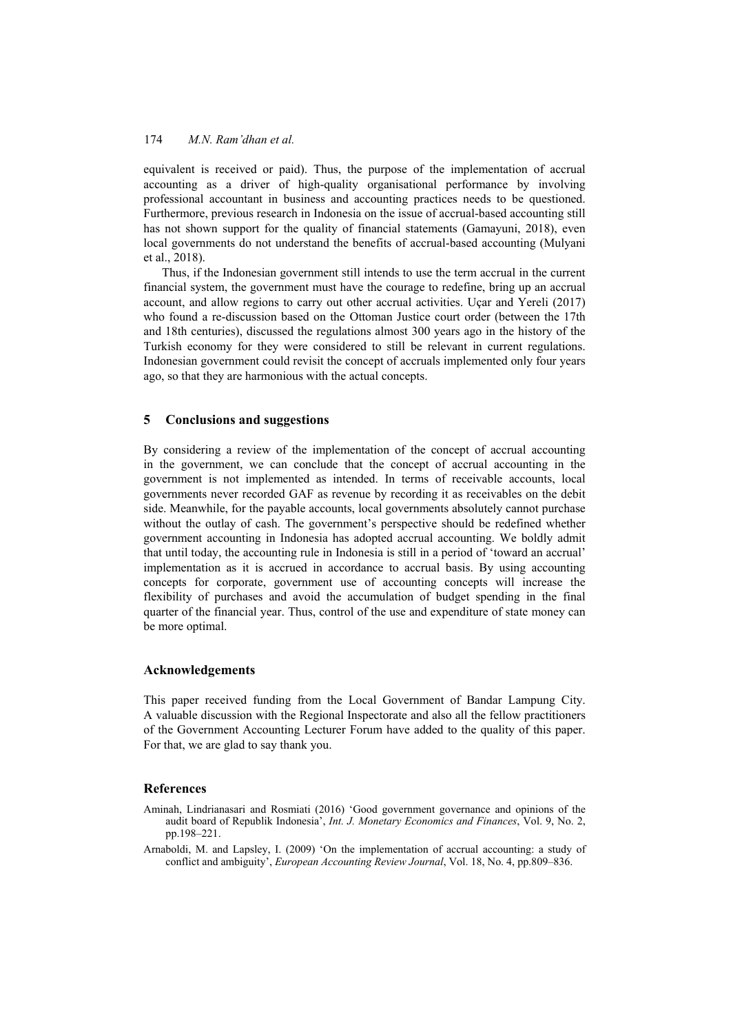equivalent is received or paid). Thus, the purpose of the implementation of accrual accounting as a driver of high-quality organisational performance by involving professional accountant in business and accounting practices needs to be questioned. Furthermore, previous research in Indonesia on the issue of accrual-based accounting still has not shown support for the quality of financial statements (Gamayuni, 2018), even local governments do not understand the benefits of accrual-based accounting (Mulyani et al., 2018).

Thus, if the Indonesian government still intends to use the term accrual in the current financial system, the government must have the courage to redefine, bring up an accrual account, and allow regions to carry out other accrual activities. Uçar and Yereli (2017) who found a re-discussion based on the Ottoman Justice court order (between the 17th and 18th centuries), discussed the regulations almost 300 years ago in the history of the Turkish economy for they were considered to still be relevant in current regulations. Indonesian government could revisit the concept of accruals implemented only four years ago, so that they are harmonious with the actual concepts.

### **5 Conclusions and suggestions**

By considering a review of the implementation of the concept of accrual accounting in the government, we can conclude that the concept of accrual accounting in the government is not implemented as intended. In terms of receivable accounts, local governments never recorded GAF as revenue by recording it as receivables on the debit side. Meanwhile, for the payable accounts, local governments absolutely cannot purchase without the outlay of cash. The government's perspective should be redefined whether government accounting in Indonesia has adopted accrual accounting. We boldly admit that until today, the accounting rule in Indonesia is still in a period of 'toward an accrual' implementation as it is accrued in accordance to accrual basis. By using accounting concepts for corporate, government use of accounting concepts will increase the flexibility of purchases and avoid the accumulation of budget spending in the final quarter of the financial year. Thus, control of the use and expenditure of state money can be more optimal.

### **Acknowledgements**

This paper received funding from the Local Government of Bandar Lampung City. A valuable discussion with the Regional Inspectorate and also all the fellow practitioners of the Government Accounting Lecturer Forum have added to the quality of this paper. For that, we are glad to say thank you.

### **References**

Aminah, Lindrianasari and Rosmiati (2016) 'Good government governance and opinions of the audit board of Republik Indonesia', *Int. J. Monetary Economics and Finances*, Vol. 9, No. 2, pp.198–221.

Arnaboldi, M. and Lapsley, I. (2009) 'On the implementation of accrual accounting: a study of conflict and ambiguity', *European Accounting Review Journal*, Vol. 18, No. 4, pp.809–836.